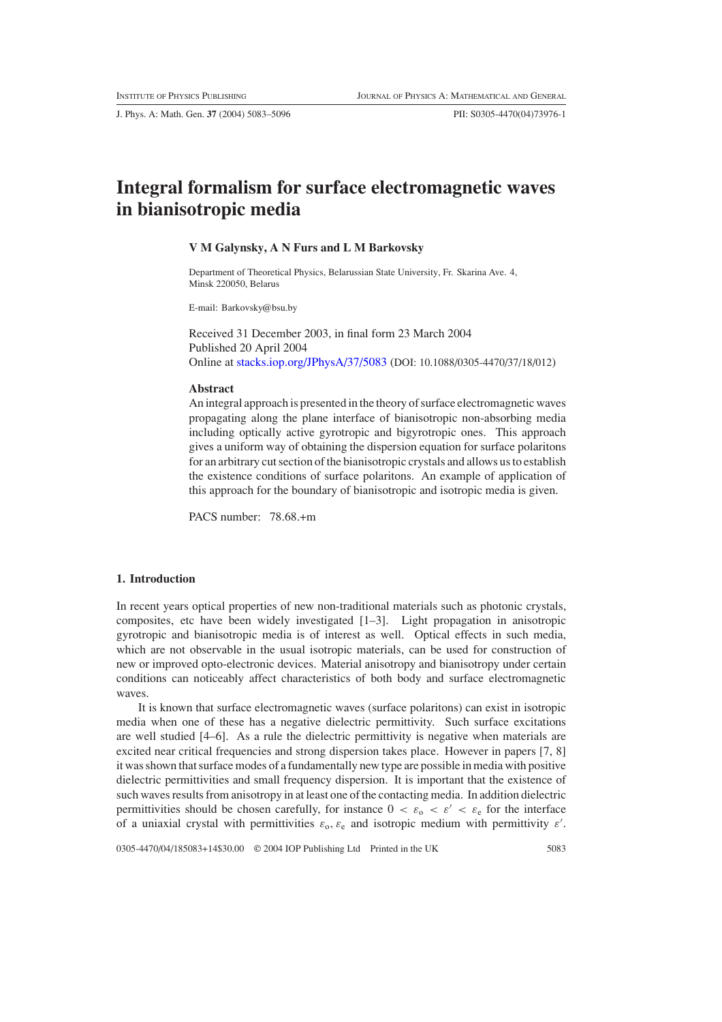J. Phys. A: Math. Gen. **37** (2004) 5083–5096 PII: S0305-4470(04)73976-1

# **Integral formalism for surface electromagnetic waves in bianisotropic media**

### **V M Galynsky, A N Furs and L M Barkovsky**

Department of Theoretical Physics, Belarussian State University, Fr. Skarina Ave. 4, Minsk 220050, Belarus

E-mail: Barkovsky@bsu.by

Received 31 December 2003, in final form 23 March 2004 Published 20 April 2004 Online at [stacks.iop.org/JPhysA/37/5083](http://stacks.iop.org/ja/37/5083) (DOI: 10.1088/0305-4470/37/18/012)

#### **Abstract**

An integral approach is presented in the theory of surface electromagnetic waves propagating along the plane interface of bianisotropic non-absorbing media including optically active gyrotropic and bigyrotropic ones. This approach gives a uniform way of obtaining the dispersion equation for surface polaritons for an arbitrary cut section of the bianisotropic crystals and allows us to establish the existence conditions of surface polaritons. An example of application of this approach for the boundary of bianisotropic and isotropic media is given.

PACS number: 78.68.+m

## **1. Introduction**

In recent years optical properties of new non-traditional materials such as photonic crystals, composites, etc have been widely investigated [1–3]. Light propagation in anisotropic gyrotropic and bianisotropic media is of interest as well. Optical effects in such media, which are not observable in the usual isotropic materials, can be used for construction of new or improved opto-electronic devices. Material anisotropy and bianisotropy under certain conditions can noticeably affect characteristics of both body and surface electromagnetic waves.

It is known that surface electromagnetic waves (surface polaritons) can exist in isotropic media when one of these has a negative dielectric permittivity. Such surface excitations are well studied [4–6]. As a rule the dielectric permittivity is negative when materials are excited near critical frequencies and strong dispersion takes place. However in papers [7, 8] it was shown that surface modes of a fundamentally new type are possible in media with positive dielectric permittivities and small frequency dispersion. It is important that the existence of such waves results from anisotropy in at least one of the contacting media. In addition dielectric permittivities should be chosen carefully, for instance  $0 < \varepsilon_0 < \varepsilon' < \varepsilon_{\rm e}$  for the interface of a uniaxial crystal with permittivities  $\varepsilon_0$ ,  $\varepsilon_0$  and isotropic medium with permittivity  $\varepsilon'$ .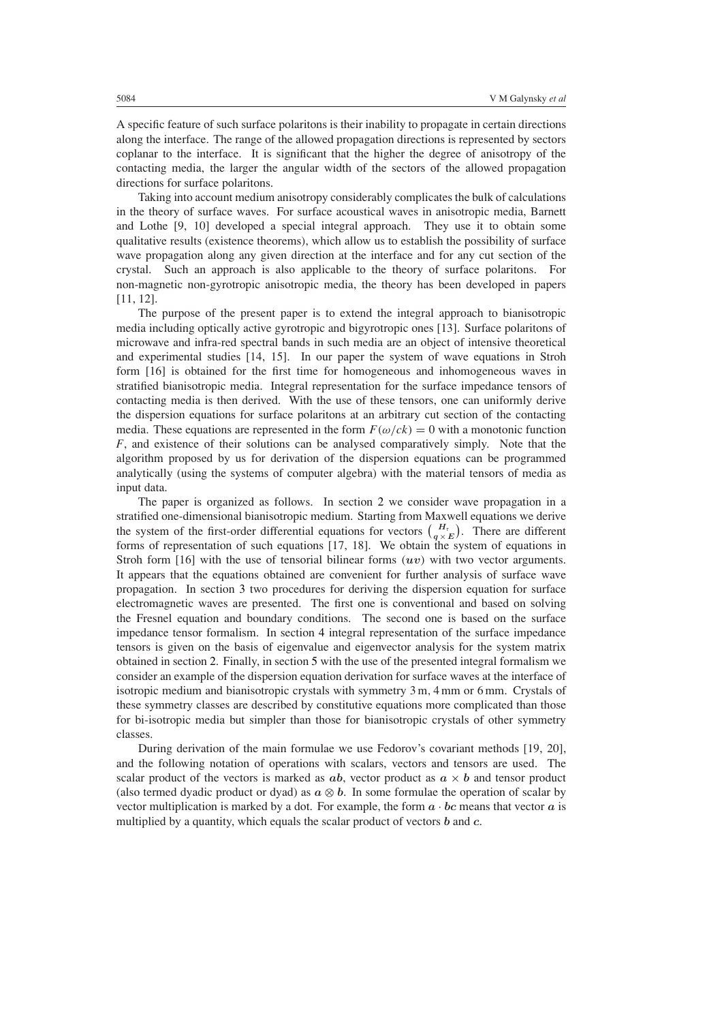A specific feature of such surface polaritons is their inability to propagate in certain directions along the interface. The range of the allowed propagation directions is represented by sectors coplanar to the interface. It is significant that the higher the degree of anisotropy of the contacting media, the larger the angular width of the sectors of the allowed propagation directions for surface polaritons.

Taking into account medium anisotropy considerably complicates the bulk of calculations in the theory of surface waves. For surface acoustical waves in anisotropic media, Barnett and Lothe [9, 10] developed a special integral approach. They use it to obtain some qualitative results (existence theorems), which allow us to establish the possibility of surface wave propagation along any given direction at the interface and for any cut section of the crystal. Such an approach is also applicable to the theory of surface polaritons. For non-magnetic non-gyrotropic anisotropic media, the theory has been developed in papers [11, 12].

The purpose of the present paper is to extend the integral approach to bianisotropic media including optically active gyrotropic and bigyrotropic ones [13]. Surface polaritons of microwave and infra-red spectral bands in such media are an object of intensive theoretical and experimental studies [14, 15]. In our paper the system of wave equations in Stroh form [16] is obtained for the first time for homogeneous and inhomogeneous waves in stratified bianisotropic media. Integral representation for the surface impedance tensors of contacting media is then derived. With the use of these tensors, one can uniformly derive the dispersion equations for surface polaritons at an arbitrary cut section of the contacting media. These equations are represented in the form  $F(\omega/ck) = 0$  with a monotonic function *F*, and existence of their solutions can be analysed comparatively simply. Note that the algorithm proposed by us for derivation of the dispersion equations can be programmed analytically (using the systems of computer algebra) with the material tensors of media as input data.

The paper is organized as follows. In section [2](#page-2-0) we consider wave propagation in a stratified one-dimensional bianisotropic medium. Starting from Maxwell equations we derive the system of the first-order differential equations for vectors  $\binom{H_t}{q \times E}$ . There are different forms of representation of such equations [17, 18]. We obtain the system of equations in Stroh form [16] with the use of tensorial bilinear forms *(uv)* with two vector arguments. It appears that the equations obtained are convenient for further analysis of surface wave propagation. In section [3](#page-5-0) two procedures for deriving the dispersion equation for surface electromagnetic waves are presented. The first one is conventional and based on solving the Fresnel equation and boundary conditions. The second one is based on the surface impedance tensor formalism. In section [4](#page-7-0) integral representation of the surface impedance tensors is given on the basis of eigenvalue and eigenvector analysis for the system matrix obtained in section [2.](#page-2-0) Finally, in section [5](#page-10-0) with the use of the presented integral formalism we consider an example of the dispersion equation derivation for surface waves at the interface of isotropic medium and bianisotropic crystals with symmetry 3 m*,* 4 mm or 6 mm. Crystals of these symmetry classes are described by constitutive equations more complicated than those for bi-isotropic media but simpler than those for bianisotropic crystals of other symmetry classes.

During derivation of the main formulae we use Fedorov's covariant methods [19, 20], and the following notation of operations with scalars, vectors and tensors are used. The scalar product of the vectors is marked as  $ab$ , vector product as  $a \times b$  and tensor product (also termed dyadic product or dyad) as  $a \otimes b$ . In some formulae the operation of scalar by vector multiplication is marked by a dot. For example, the form  $a \cdot bc$  means that vector  $a$  is multiplied by a quantity, which equals the scalar product of vectors *b* and *c*.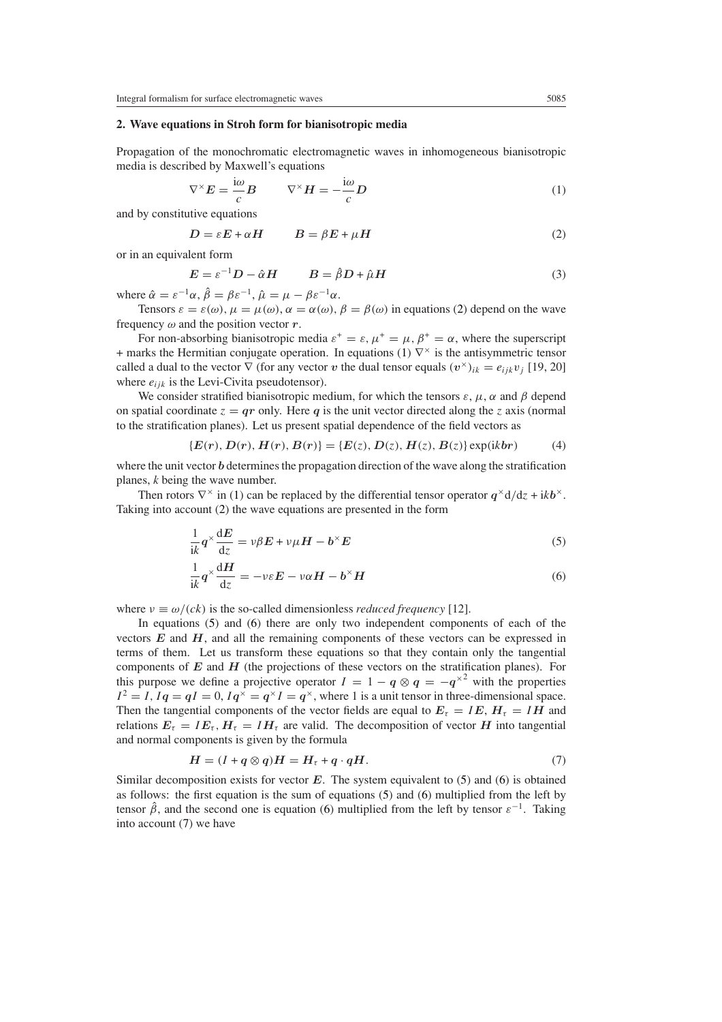## <span id="page-2-0"></span>**2. Wave equations in Stroh form for bianisotropic media**

<span id="page-2-2"></span>Propagation of the monochromatic electromagnetic waves in inhomogeneous bianisotropic media is described by Maxwell's equations

$$
\nabla^{\times} E = \frac{\mathrm{i}\omega}{c} B \qquad \nabla^{\times} H = -\frac{\mathrm{i}\omega}{c} D \tag{1}
$$

<span id="page-2-1"></span>and by constitutive equations

$$
D = \varepsilon E + \alpha H \qquad \qquad B = \beta E + \mu H \tag{2}
$$

or in an equivalent form

$$
E = \varepsilon^{-1} D - \hat{\alpha} H \qquad \qquad B = \hat{\beta} D + \hat{\mu} H \tag{3}
$$

where  $\hat{\alpha} = \varepsilon^{-1} \alpha$ ,  $\hat{\beta} = \beta \varepsilon^{-1}$ ,  $\hat{\mu} = \mu - \beta \varepsilon^{-1} \alpha$ .

Tensors  $\varepsilon = \varepsilon(\omega)$ ,  $\mu = \mu(\omega)$ ,  $\alpha = \alpha(\omega)$ ,  $\beta = \beta(\omega)$  in equations [\(2\)](#page-2-1) depend on the wave frequency  $\omega$  and the position vector  $r$ .

For non-absorbing bianisotropic media  $\varepsilon^+ = \varepsilon$ ,  $\mu^+ = \mu$ ,  $\beta^+ = \alpha$ , where the superscript + marks the Hermitian conjugate operation. In equations [\(1\)](#page-2-2)  $\nabla^{\times}$  is the antisymmetric tensor called a dual to the vector  $\nabla$  (for any vector *v* the dual tensor equals  $(v^{\times})_{ik} = e_{ijk}v_i$  [19, 20] where  $e_{ijk}$  is the Levi-Civita pseudotensor).

We consider stratified bianisotropic medium, for which the tensors  $\varepsilon$ ,  $\mu$ ,  $\alpha$  and  $\beta$  depend on spatial coordinate  $z = qr$  only. Here q is the unit vector directed along the *z* axis (normal to the stratification planes). Let us present spatial dependence of the field vectors as

$$
\{E(r), D(r), H(r), B(r)\} = \{E(z), D(z), H(z), B(z)\}\exp(ikbr) \tag{4}
$$

where the unit vector *b* determines the propagation direction of the wave along the stratification planes, *k* being the wave number.

<span id="page-2-3"></span>Then rotors  $\nabla^{\times}$  in [\(1\)](#page-2-2) can be replaced by the differential tensor operator  $q^{\times}d/dz + ikb^{\times}$ . Taking into account [\(2\)](#page-2-1) the wave equations are presented in the form

$$
\frac{1}{ik}q^{\times}\frac{dE}{dz} = v\beta E + v\mu H - b^{\times}E
$$
\n(5)

$$
\frac{1}{ik}q^{\times}\frac{dH}{dz} = -\nu\varepsilon E - \nu\alpha H - b^{\times}H\tag{6}
$$

<span id="page-2-4"></span>where  $v \equiv \omega/(ck)$  is the so-called dimensionless *reduced frequency* [12].

In equations [\(5\)](#page-2-3) and [\(6\)](#page-2-4) there are only two independent components of each of the vectors *E* and *H*, and all the remaining components of these vectors can be expressed in terms of them. Let us transform these equations so that they contain only the tangential components of *E* and *H* (the projections of these vectors on the stratification planes). For this purpose we define a projective operator  $I = 1 - q \otimes q = -q^{\times 2}$  with the properties  $I^2 = I$ ,  $Iq = qI = 0$ ,  $Iq^{\times} = q^{\times}I = q^{\times}$ , where 1 is a unit tensor in three-dimensional space. Then the tangential components of the vector fields are equal to  $E<sub>\tau</sub> = I E$ ,  $H<sub>\tau</sub> = I H$  and relations  $E_{\tau} = I E_{\tau}$ ,  $H_{\tau} = I H_{\tau}$  are valid. The decomposition of vector *H* into tangential and normal components is given by the formula

$$
H = (I + q \otimes q)H = H_{\tau} + q \cdot qH. \tag{7}
$$

<span id="page-2-5"></span>Similar decomposition exists for vector *E*. The system equivalent to [\(5\)](#page-2-3) and [\(6\)](#page-2-4) is obtained as follows: the first equation is the sum of equations [\(5\)](#page-2-3) and [\(6\)](#page-2-4) multiplied from the left by tensor  $\hat{\beta}$ , and the second one is equation [\(6\)](#page-2-4) multiplied from the left by tensor  $\varepsilon^{-1}$ . Taking into account [\(7\)](#page-2-5) we have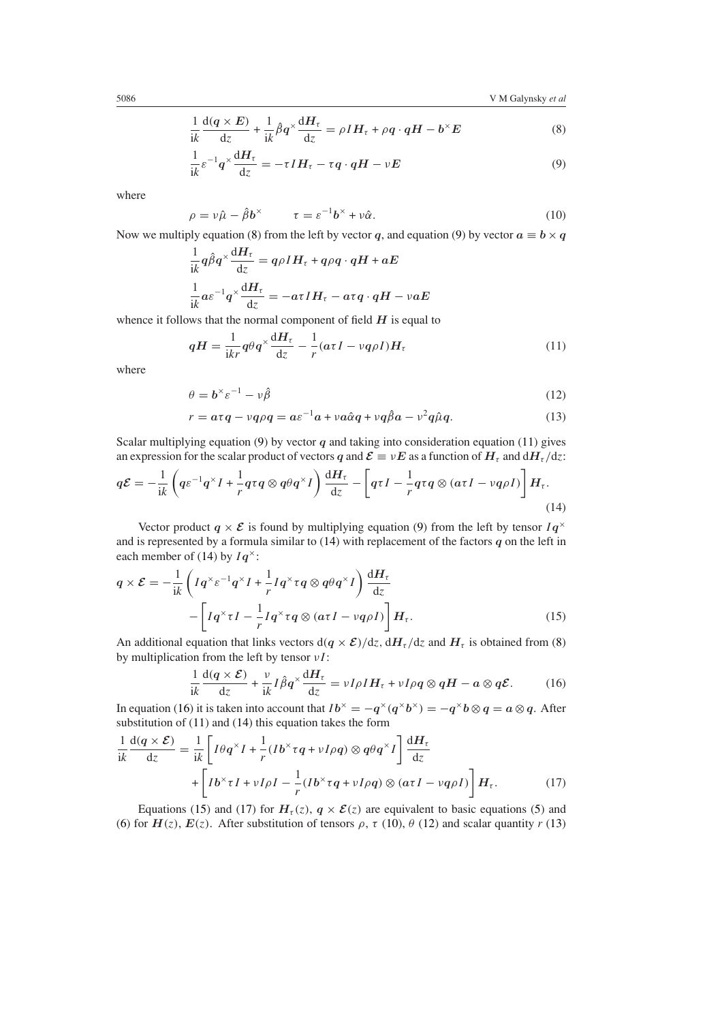$$
\frac{1}{ik}\frac{d(q \times E)}{dz} + \frac{1}{ik}\hat{\beta}q^{\times}\frac{dH_{\tau}}{dz} = \rho IH_{\tau} + \rho q \cdot qH - b^{\times}E
$$
\n(8)

$$
\frac{1}{ik}\varepsilon^{-1}q^{\times}\frac{dH_{\tau}}{dz} = -\tau IH_{\tau} - \tau q \cdot qH - \nu E
$$
\n(9)

<span id="page-3-7"></span><span id="page-3-1"></span><span id="page-3-0"></span>where

$$
\rho = \nu \hat{\mu} - \hat{\beta} b^{\times} \qquad \tau = \varepsilon^{-1} b^{\times} + \nu \hat{\alpha}.
$$
 (10)

Now we multiply equation [\(8\)](#page-3-0) from the left by vector *q*, and equation [\(9\)](#page-3-1) by vector  $a \equiv b \times q$ 

$$
\frac{1}{ik}q\hat{\beta}q^{\times}\frac{dH_{\tau}}{dz} = q\rho IH_{\tau} + q\rho q \cdot qH + aE
$$

$$
\frac{1}{ik}a\varepsilon^{-1}q^{\times}\frac{dH_{\tau}}{dz} = -a\tau IH_{\tau} - a\tau q \cdot qH - v aE
$$

<span id="page-3-2"></span>whence it follows that the normal component of field *H* is equal to

$$
qH = \frac{1}{ikr}q\theta q^{\times} \frac{dH_{\tau}}{dz} - \frac{1}{r}(a\tau I - vq\rho I)H_{\tau}
$$
\n(11)

<span id="page-3-8"></span>where

$$
\theta = \mathbf{b}^{\times} \varepsilon^{-1} - \nu \hat{\beta} \tag{12}
$$

$$
r = a\tau q - vq\rho q = a\varepsilon^{-1}a + v a\hat{\alpha}q + vq\hat{\beta}a - v^2q\hat{\mu}q.
$$
 (13)

<span id="page-3-9"></span>Scalar multiplying equation [\(9\)](#page-3-1) by vector  $q$  and taking into consideration equation [\(11\)](#page-3-2) gives an expression for the scalar product of vectors *q* and  $\mathcal{E} \equiv vE$  as a function of  $H<sub>\tau</sub>$  and  $dH<sub>\tau</sub>/dz$ :

<span id="page-3-3"></span>
$$
q\mathcal{E} = -\frac{1}{ik} \left( q\varepsilon^{-1} q^\times I + \frac{1}{r} q\tau q \otimes q\theta q^\times I \right) \frac{dH_\tau}{dz} - \left[ q\tau I - \frac{1}{r} q\tau q \otimes (a\tau I - \nu q\rho I) \right] H_\tau.
$$
\n(14)

Vector product  $q \times \mathcal{E}$  is found by multiplying equation [\(9\)](#page-3-1) from the left by tensor  $Iq^{\times}$ and is represented by a formula similar to [\(14\)](#page-3-3) with replacement of the factors *q* on the left in each member of [\(14\)](#page-3-3) by *Iq*<sup>×</sup>:

<span id="page-3-5"></span>
$$
q \times \mathcal{E} = -\frac{1}{ik} \left( I q^{\times} \varepsilon^{-1} q^{\times} I + \frac{1}{r} I q^{\times} \tau q \otimes q \theta q^{\times} I \right) \frac{dH_{\tau}}{dz} - \left[ I q^{\times} \tau I - \frac{1}{r} I q^{\times} \tau q \otimes (a \tau I - \nu q \rho I) \right] H_{\tau}.
$$
 (15)

<span id="page-3-4"></span>An additional equation that links vectors  $d(q \times \mathcal{E})/dz$ ,  $dH_{\tau}/dz$  and  $H_{\tau}$  is obtained from [\(8\)](#page-3-0) by multiplication from the left by tensor *νI* :

$$
\frac{1}{ik}\frac{d(q\times\mathcal{E})}{dz} + \frac{\nu}{ik}I\hat{\beta}q^{\times}\frac{dH_{\tau}}{dz} = \nu I\rho IH_{\tau} + \nu I\rho q \otimes qH - a \otimes q\mathcal{E}.
$$
 (16)

In equation [\(16\)](#page-3-4) it is taken into account that  $Ib^{\times} = -q^{\times}(q^{\times}b^{\times}) = -q^{\times}b \otimes q = a \otimes q$ . After substitution of [\(11\)](#page-3-2) and [\(14\)](#page-3-3) this equation takes the form

<span id="page-3-6"></span>
$$
\frac{1}{ik}\frac{d(q \times \mathcal{E})}{dz} = \frac{1}{ik} \left[ I\theta q^{\times} I + \frac{1}{r} (Ib^{\times} \tau q + vI\rho q) \otimes q\theta q^{\times} I \right] \frac{dH_{\tau}}{dz} + \left[ Ib^{\times} \tau I + vI\rho I - \frac{1}{r} (Ib^{\times} \tau q + vI\rho q) \otimes (\alpha \tau I - vq\rho I) \right] H_{\tau}.
$$
\n(17)

Equations [\(15\)](#page-3-5) and [\(17\)](#page-3-6) for  $H_\tau(z)$ ,  $q \times \mathcal{E}(z)$  are equivalent to basic equations [\(5\)](#page-2-3) and [\(6\)](#page-2-4) for  $H(z)$ ,  $E(z)$ . After substitution of tensors  $\rho$ ,  $\tau$  [\(10\)](#page-3-7),  $\theta$  [\(12\)](#page-3-8) and scalar quantity  $r$  [\(13\)](#page-3-9)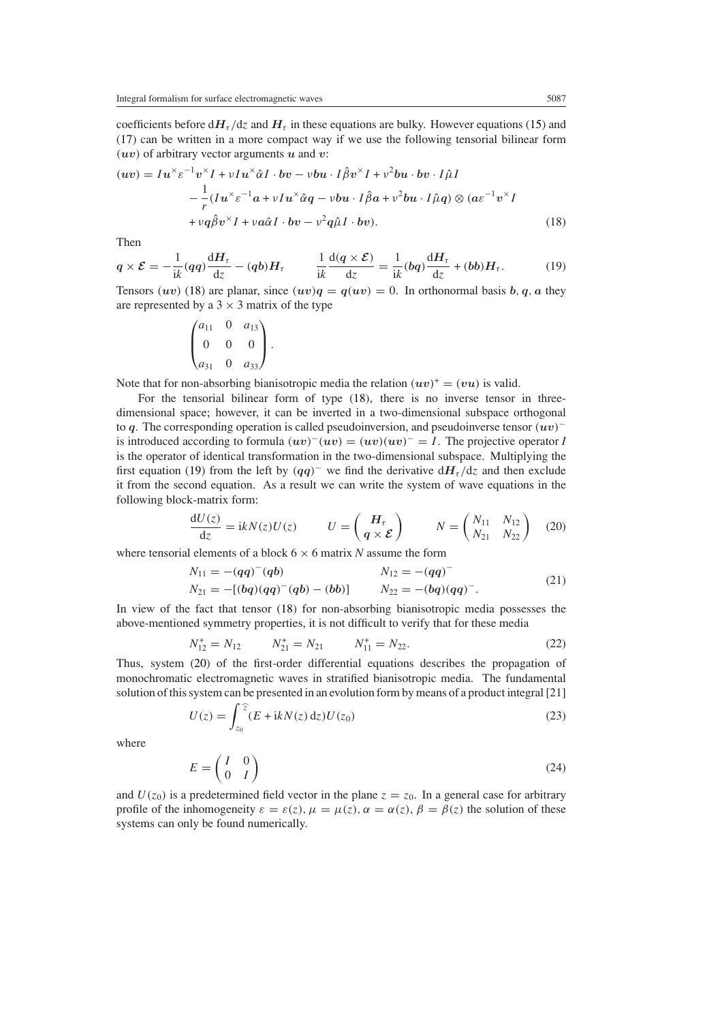coefficients before  $dH_{\tau}/dz$  and  $H_{\tau}$  in these equations are bulky. However equations [\(15\)](#page-3-5) and [\(17\)](#page-3-6) can be written in a more compact way if we use the following tensorial bilinear form *(uv)* of arbitrary vector arguments *u* and *v*:

<span id="page-4-0"></span>
$$
(uv) = Iu^{\times} \varepsilon^{-1} v^{\times} I + vIu^{\times} \hat{\alpha} I \cdot bv - vbu \cdot I\hat{\beta} v^{\times} I + v^{2}bu \cdot bv \cdot I\hat{\mu}I
$$
  

$$
- \frac{1}{r} (Iu^{\times} \varepsilon^{-1} a + vIu^{\times} \hat{\alpha}q - vbu \cdot I\hat{\beta}a + v^{2}bu \cdot I\hat{\mu}q) \otimes (a\varepsilon^{-1} v^{\times} I
$$
  

$$
+ vq\hat{\beta} v^{\times} I + v a\hat{\alpha}I \cdot bv - v^{2}q\hat{\mu}I \cdot bv).
$$
 (18)

<span id="page-4-1"></span>Then

$$
q \times \mathcal{E} = -\frac{1}{ik}(qq)\frac{dH_{\tau}}{dz} - (qb)H_{\tau} \qquad \frac{1}{ik}\frac{d(q \times \mathcal{E})}{dz} = \frac{1}{ik}(bq)\frac{dH_{\tau}}{dz} + (bb)H_{\tau}.
$$
 (19)

Tensors (*uv*) [\(18\)](#page-4-0) are planar, since  $(uv)q = q(uv) = 0$ . In orthonormal basis *b*, *q*, *a* they are represented by a  $3 \times 3$  matrix of the type

$$
\begin{pmatrix} a_{11} & 0 & a_{13} \\ 0 & 0 & 0 \\ a_{31} & 0 & a_{33} \end{pmatrix}.
$$

Note that for non-absorbing bianisotropic media the relation  $(uv)^{+} = (vu)$  is valid.

For the tensorial bilinear form of type [\(18\)](#page-4-0), there is no inverse tensor in threedimensional space; however, it can be inverted in a two-dimensional subspace orthogonal to *q*. The corresponding operation is called pseudoinversion, and pseudoinverse tensor *(uv)*<sup>−</sup> is introduced according to formula  $(uv)^{-(uv)} = (uv)(uv)^{-} = I$ . The projective operator *I* is the operator of identical transformation in the two-dimensional subspace. Multiplying the first equation [\(19\)](#page-4-1) from the left by  $(qq)^-$  we find the derivative  $dH_t/dz$  and then exclude it from the second equation. As a result we can write the system of wave equations in the following block-matrix form:

$$
\frac{dU(z)}{dz} = ikN(z)U(z) \qquad U = \begin{pmatrix} H_{\tau} \\ q \times \mathcal{E} \end{pmatrix} \qquad N = \begin{pmatrix} N_{11} & N_{12} \\ N_{21} & N_{22} \end{pmatrix} \tag{20}
$$

<span id="page-4-3"></span><span id="page-4-2"></span>where tensorial elements of a block 6 × 6 matrix *N* assume the form

$$
N_{11} = -(qq)^{-}(qb)
$$
  
\n
$$
N_{12} = -(qq)^{-}
$$
  
\n
$$
N_{12} = -(qq)^{-}
$$
  
\n
$$
N_{21} = -(bq)(qq)^{-}(qb)
$$
  
\n
$$
N_{22} = -(bq)(qq)^{-}.
$$
\n(21)

<span id="page-4-4"></span>In view of the fact that tensor [\(18\)](#page-4-0) for non-absorbing bianisotropic media possesses the above-mentioned symmetry properties, it is not difficult to verify that for these media

$$
N_{12}^+ = N_{12} \qquad N_{21}^+ = N_{21} \qquad N_{11}^+ = N_{22}.\tag{22}
$$

Thus, system [\(20\)](#page-4-2) of the first-order differential equations describes the propagation of monochromatic electromagnetic waves in stratified bianisotropic media. The fundamental solution of this system can be presented in an evolution form by means of a product integral [21]

$$
U(z) = \int_{z_0}^{\widehat{z}} (E + ikN(z) dz) U(z_0)
$$
 (23)

<span id="page-4-5"></span>where

$$
E = \begin{pmatrix} I & 0 \\ 0 & I \end{pmatrix} \tag{24}
$$

and  $U(z_0)$  is a predetermined field vector in the plane  $z = z_0$ . In a general case for arbitrary profile of the inhomogeneity  $\varepsilon = \varepsilon(z)$ ,  $\mu = \mu(z)$ ,  $\alpha = \alpha(z)$ ,  $\beta = \beta(z)$  the solution of these systems can only be found numerically.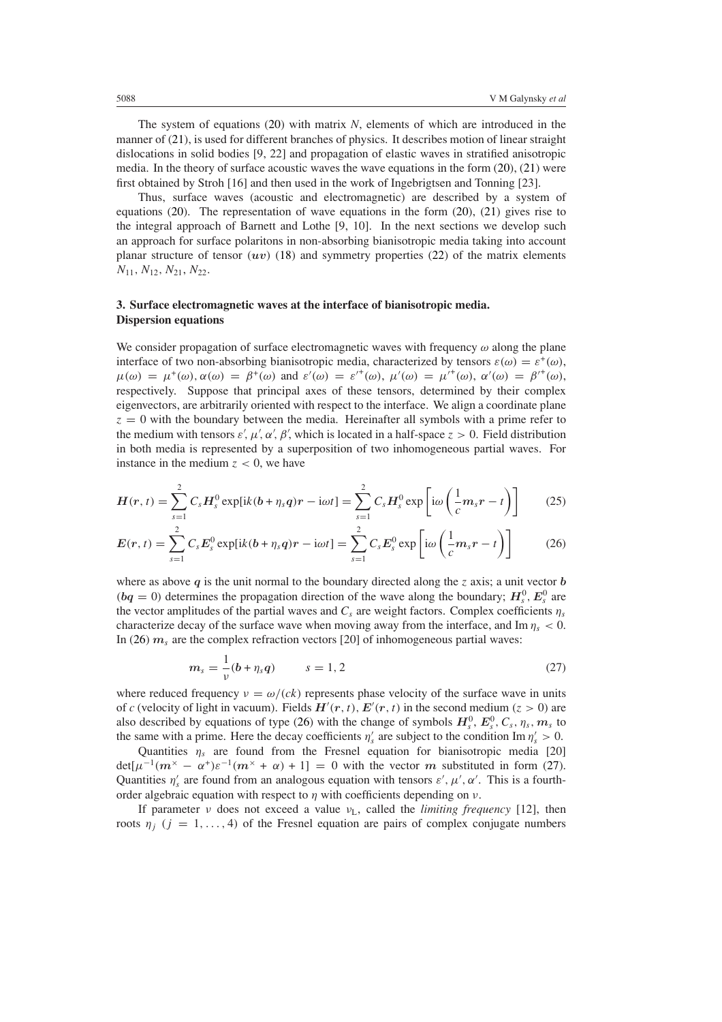The system of equations [\(20\)](#page-4-2) with matrix *N*, elements of which are introduced in the manner of [\(21\)](#page-4-3), is used for different branches of physics. It describes motion of linear straight dislocations in solid bodies [9, 22] and propagation of elastic waves in stratified anisotropic media. In the theory of surface acoustic waves the wave equations in the form  $(20)$ ,  $(21)$  were first obtained by Stroh [16] and then used in the work of Ingebrigtsen and Tonning [23].

Thus, surface waves (acoustic and electromagnetic) are described by a system of equations  $(20)$ . The representation of wave equations in the form  $(20)$ ,  $(21)$  gives rise to the integral approach of Barnett and Lothe [9, 10]. In the next sections we develop such an approach for surface polaritons in non-absorbing bianisotropic media taking into account planar structure of tensor  $(uv)$  [\(18\)](#page-4-0) and symmetry properties [\(22\)](#page-4-4) of the matrix elements *N*11*, N*12*, N*21, *N*22.

# <span id="page-5-0"></span>**3. Surface electromagnetic waves at the interface of bianisotropic media. Dispersion equations**

We consider propagation of surface electromagnetic waves with frequency  $\omega$  along the plane interface of two non-absorbing bianisotropic media, characterized by tensors  $\varepsilon(\omega) = \varepsilon^+(\omega)$ ,  $\mu(\omega) = \mu^+(\omega), \alpha(\omega) = \beta^+(\omega) \text{ and } \varepsilon'(\omega) = \varepsilon'^+(\omega), \mu'(\omega) = \mu'^+(\omega), \alpha'(\omega) = \beta'^+(\omega),$ respectively. Suppose that principal axes of these tensors, determined by their complex eigenvectors, are arbitrarily oriented with respect to the interface. We align a coordinate plane  $z = 0$  with the boundary between the media. Hereinafter all symbols with a prime refer to the medium with tensors  $\varepsilon', \mu', \alpha', \beta'$ , which is located in a half-space  $z > 0$ . Field distribution in both media is represented by a superposition of two inhomogeneous partial waves. For instance in the medium  $z < 0$ , we have

$$
H(r,t) = \sum_{s=1}^{2} C_s H_s^0 \exp[ik(b+\eta_s q)r - i\omega t] = \sum_{s=1}^{2} C_s H_s^0 \exp\left[i\omega\left(\frac{1}{c}m_s r - t\right)\right]
$$
(25)

<span id="page-5-1"></span>
$$
E(r,t) = \sum_{s=1}^{2} C_s E_s^0 \exp[ik(b+\eta_s q)r - i\omega t] = \sum_{s=1}^{2} C_s E_s^0 \exp\left[i\omega\left(\frac{1}{c}m_s r - t\right)\right]
$$
(26)

where as above  $q$  is the unit normal to the boundary directed along the *z* axis; a unit vector  $b$  $(bq = 0)$  determines the propagation direction of the wave along the boundary;  $H_s^0$ ,  $E_s^0$  are the vector amplitudes of the partial waves and  $C_s$  are weight factors. Complex coefficients  $\eta_s$ characterize decay of the surface wave when moving away from the interface, and Im  $\eta_s < 0$ . In [\(26\)](#page-5-1)  $m_s$  are the complex refraction vectors [20] of inhomogeneous partial waves:

$$
m_s = \frac{1}{\nu}(b + \eta_s q) \qquad s = 1, 2 \tag{27}
$$

<span id="page-5-2"></span>where reduced frequency  $v = \omega/(ck)$  represents phase velocity of the surface wave in units of *c* (velocity of light in vacuum). Fields  $H'(r, t)$ ,  $E'(r, t)$  in the second medium  $(z > 0)$  are also described by equations of type [\(26\)](#page-5-1) with the change of symbols  $H_s^0$ ,  $E_s^0$ ,  $C_s$ ,  $\eta_s$ ,  $m_s$  to the same with a prime. Here the decay coefficients  $\eta_s$  are subject to the condition Im  $\eta_s$  > 0.

Quantities  $\eta_s$  are found from the Fresnel equation for bianisotropic media [20]  $det[\mu^{-1}(m^{\times} - \alpha^{+})\varepsilon^{-1}(m^{\times} + \alpha) + 1] = 0$  with the vector *m* substituted in form [\(27\)](#page-5-2). Quantities  $\eta_s'$  are found from an analogous equation with tensors  $\varepsilon', \mu', \alpha'$ . This is a fourthorder algebraic equation with respect to  $\eta$  with coefficients depending on  $\nu$ .

If parameter *ν* does not exceed a value  $v_L$ , called the *limiting frequency* [12], then roots  $\eta_i$  ( $j = 1, \ldots, 4$ ) of the Fresnel equation are pairs of complex conjugate numbers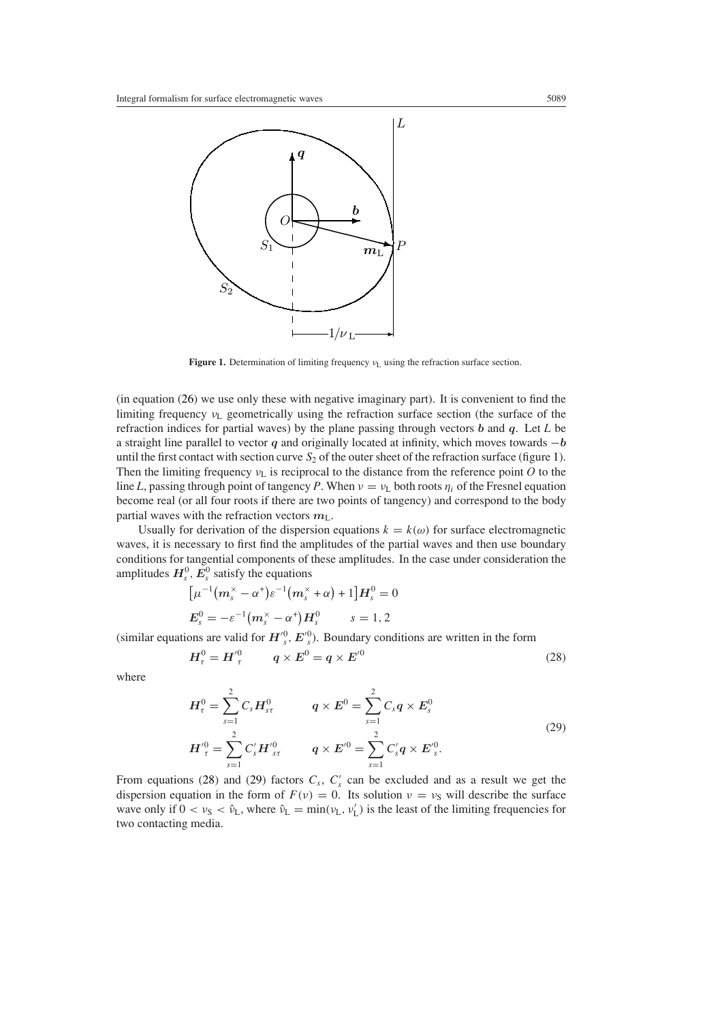

**Figure 1.** Determination of limiting frequency *ν*<sub>L</sub> using the refraction surface section.

<span id="page-6-0"></span>(in equation [\(26\)](#page-5-1) we use only these with negative imaginary part). It is convenient to find the limiting frequency *ν*<sup>L</sup> geometrically using the refraction surface section (the surface of the refraction indices for partial waves) by the plane passing through vectors *b* and *q*. Let *L* be a straight line parallel to vector *q* and originally located at infinity, which moves towards −*b* until the first contact with section curve  $S_2$  of the outer sheet of the refraction surface (figure [1\)](#page-6-0). Then the limiting frequency  $v<sub>L</sub>$  is reciprocal to the distance from the reference point *O* to the line *L*, passing through point of tangency *P*. When  $v = v_L$  both roots  $\eta_i$  of the Fresnel equation become real (or all four roots if there are two points of tangency) and correspond to the body partial waves with the refraction vectors  $m<sub>L</sub>$ .

Usually for derivation of the dispersion equations  $k = k(\omega)$  for surface electromagnetic waves, it is necessary to first find the amplitudes of the partial waves and then use boundary conditions for tangential components of these amplitudes. In the case under consideration the amplitudes  $H_s^0$ ,  $E_s^0$  satisfy the equations

$$
[\mu^{-1}(m_s^{\times} - \alpha^+) \varepsilon^{-1}(m_s^{\times} + \alpha) + 1]H_s^0 = 0
$$
  

$$
E_s^0 = -\varepsilon^{-1}(m_s^{\times} - \alpha^+)H_s^0 \qquad s = 1, 2
$$

<span id="page-6-1"></span>(similar equations are valid for  $H'_{s}^{0}$ ,  $E'_{s}^{0}$ ). Boundary conditions are written in the form

$$
H_{\tau}^{0} = H_{\tau}^{\prime 0} \qquad q \times E^{0} = q \times E^{\prime 0} \tag{28}
$$

<span id="page-6-2"></span>where

$$
H_{\tau}^{0} = \sum_{s=1}^{2} C_{s} H_{s\tau}^{0} \qquad q \times E^{0} = \sum_{s=1}^{2} C_{s} q \times E_{s}^{0}
$$
  

$$
H_{\tau}^{'0} = \sum_{s=1}^{2} C'_{s} H_{s\tau}^{'0} \qquad q \times E^{'0} = \sum_{s=1}^{2} C'_{s} q \times E_{s}^{'0}.
$$
 (29)

From equations [\(28\)](#page-6-1) and [\(29\)](#page-6-2) factors  $C_s$ ,  $C'_s$  can be excluded and as a result we get the dispersion equation in the form of  $F(v) = 0$ . Its solution  $v = v<sub>S</sub>$  will describe the surface wave only if  $0 < v_S < \hat{v}_L$ , where  $\hat{v}_L = \min(v_L, v'_L)$  is the least of the limiting frequencies for two contacting media.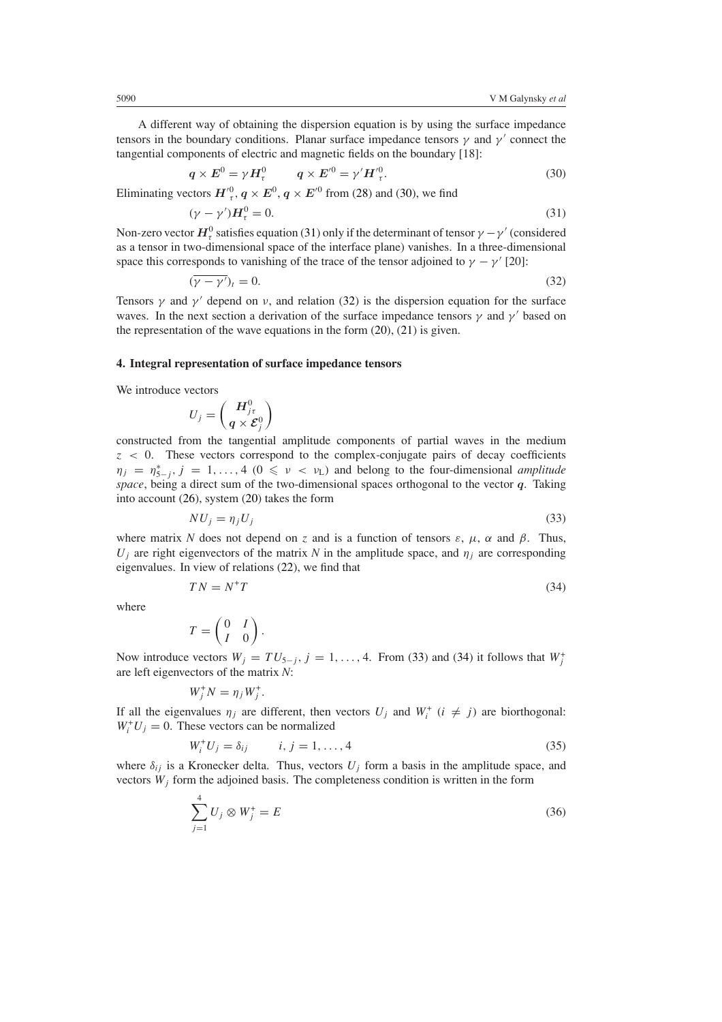<span id="page-7-1"></span>A different way of obtaining the dispersion equation is by using the surface impedance tensors in the boundary conditions. Planar surface impedance tensors  $\gamma$  and  $\gamma'$  connect the tangential components of electric and magnetic fields on the boundary [18]:

$$
q \times E^0 = \gamma H_\tau^0 \qquad q \times E'^0 = \gamma' H'^0_\tau. \tag{30}
$$

<span id="page-7-2"></span>Eliminating vectors  $H^{\prime 0}_{\tau}$ ,  $q \times E^0$ ,  $q \times E^{\prime 0}$  from [\(28\)](#page-6-1) and [\(30\)](#page-7-1), we find

$$
(\gamma - \gamma')H_{\tau}^{0} = 0. \tag{31}
$$

<span id="page-7-3"></span>Non-zero vector  $H^0_\tau$  satisfies equation [\(31\)](#page-7-2) only if the determinant of tensor  $\gamma-\gamma'$  (considered as a tensor in two-dimensional space of the interface plane) vanishes. In a three-dimensional space this corresponds to vanishing of the trace of the tensor adjoined to  $\gamma - \gamma'$  [20]:

$$
(\gamma - \gamma')_t = 0. \tag{32}
$$

Tensors  $\gamma$  and  $\gamma'$  depend on *v*, and relation [\(32\)](#page-7-3) is the dispersion equation for the surface waves. In the next section a derivation of the surface impedance tensors  $\gamma$  and  $\gamma'$  based on the representation of the wave equations in the form [\(20\)](#page-4-2), [\(21\)](#page-4-3) is given.

#### <span id="page-7-0"></span>**4. Integral representation of surface impedance tensors**

We introduce vectors

$$
U_j = \left(\frac{\boldsymbol{H}^0_{j\tau}}{\boldsymbol{q}\times\boldsymbol{\mathcal{E}}^0_j}\right)
$$

constructed from the tangential amplitude components of partial waves in the medium *z <* 0. These vectors correspond to the complex-conjugate pairs of decay coefficients  $\eta_j = \eta_{5-j}^*$ ,  $j = 1, \ldots, 4$  ( $0 \leq \nu < \nu_L$ ) and belong to the four-dimensional *amplitude space*, being a direct sum of the two-dimensional spaces orthogonal to the vector *q*. Taking into account [\(26\)](#page-5-1), system [\(20\)](#page-4-2) takes the form

$$
NU_j = \eta_j U_j \tag{33}
$$

<span id="page-7-5"></span><span id="page-7-4"></span>where matrix *N* does not depend on *z* and is a function of tensors  $\varepsilon$ ,  $\mu$ ,  $\alpha$  and  $\beta$ . Thus, *U<sub>j</sub>* are right eigenvectors of the matrix *N* in the amplitude space, and  $\eta_i$  are corresponding eigenvalues. In view of relations [\(22\)](#page-4-4), we find that

$$
TN = N^+T \tag{34}
$$

where

$$
T = \begin{pmatrix} 0 & I \\ I & 0 \end{pmatrix}.
$$

Now introduce vectors  $W_j = TU_{5-j}$ ,  $j = 1, ..., 4$ . From [\(33\)](#page-7-4) and [\(34\)](#page-7-5) it follows that  $W_j^+$ are left eigenvectors of the matrix *N*:

$$
W_j^+N=\eta_jW_j^+.
$$

<span id="page-7-6"></span>If all the eigenvalues  $\eta_j$  are different, then vectors  $U_j$  and  $W_i^+$  ( $i \neq j$ ) are biorthogonal:  $W_i^+ U_j = 0$ . These vectors can be normalized

$$
W_i^+ U_j = \delta_{ij} \qquad i, j = 1, \dots, 4 \tag{35}
$$

<span id="page-7-7"></span>where  $\delta_{ij}$  is a Kronecker delta. Thus, vectors  $U_j$  form a basis in the amplitude space, and vectors *Wj* form the adjoined basis. The completeness condition is written in the form

$$
\sum_{j=1}^{4} U_j \otimes W_j^+ = E
$$
 (36)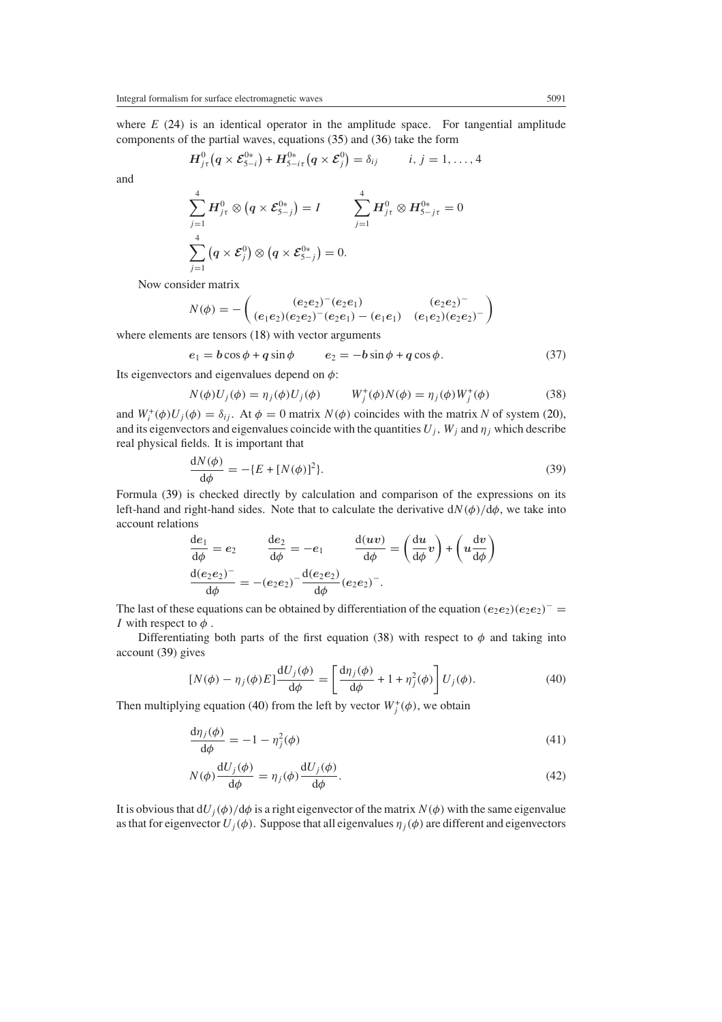where *E* [\(24\)](#page-4-5) is an identical operator in the amplitude space. For tangential amplitude components of the partial waves, equations [\(35\)](#page-7-6) and [\(36\)](#page-7-7) take the form

$$
H^0_{j\tau}\big(q\times\mathcal{E}^{0*}_{5-i}\big)+H^{0*}_{5-i\tau}\big(q\times\mathcal{E}^0_j\big)=\delta_{ij}\qquad i,\,j=1,\ldots,4
$$

and

$$
\sum_{j=1}^{4} H_{j\tau}^{0} \otimes (q \times \mathcal{E}_{5-j}^{0*}) = I \qquad \sum_{j=1}^{4} H_{j\tau}^{0} \otimes H_{5-j\tau}^{0*} = 0
$$
  

$$
\sum_{j=1}^{4} (q \times \mathcal{E}_{j}^{0}) \otimes (q \times \mathcal{E}_{5-j}^{0*}) = 0.
$$

Now consider matrix

$$
N(\phi) = -\begin{pmatrix} (e_2e_2)^{-}(e_2e_1) & (e_2e_2)^{-} \\ (e_1e_2)(e_2e_2)^{-}(e_2e_1) - (e_1e_1) & (e_1e_2)(e_2e_2)^{-} \end{pmatrix}
$$

<span id="page-8-4"></span>where elements are tensors [\(18\)](#page-4-0) with vector arguments

$$
e_1 = b\cos\phi + q\sin\phi \qquad e_2 = -b\sin\phi + q\cos\phi. \tag{37}
$$

<span id="page-8-1"></span>Its eigenvectors and eigenvalues depend on *φ*:

$$
N(\phi)U_j(\phi) = \eta_j(\phi)U_j(\phi) \qquad W_j^+(\phi)N(\phi) = \eta_j(\phi)W_j^+(\phi) \tag{38}
$$

<span id="page-8-0"></span>and  $W_i^+(\phi)U_j(\phi) = \delta_{ij}$ . At  $\phi = 0$  matrix  $N(\phi)$  coincides with the matrix N of system [\(20\)](#page-4-2), and its eigenvectors and eigenvalues coincide with the quantities  $U_j$ ,  $W_j$  and  $\eta_j$  which describe real physical fields. It is important that

$$
\frac{dN(\phi)}{d\phi} = -\{E + [N(\phi)]^2\}.
$$
\n(39)

Formula [\(39\)](#page-8-0) is checked directly by calculation and comparison of the expressions on its left-hand and right-hand sides. Note that to calculate the derivative  $dN(\phi)/d\phi$ , we take into account relations

$$
\frac{de_1}{d\phi} = e_2 \qquad \frac{de_2}{d\phi} = -e_1 \qquad \frac{d(uv)}{d\phi} = \left(\frac{du}{d\phi}v\right) + \left(u\frac{dv}{d\phi}\right)
$$

$$
\frac{d(e_2e_2)^-}{d\phi} = -(e_2e_2)^{-} \frac{d(e_2e_2)}{d\phi}(e_2e_2)^{-}.
$$

The last of these equations can be obtained by differentiation of the equation  $(e_2e_2)(e_2e_2)^{-1}$ *I* with respect to *φ* .

<span id="page-8-2"></span>Differentiating both parts of the first equation [\(38\)](#page-8-1) with respect to  $\phi$  and taking into account [\(39\)](#page-8-0) gives

$$
[N(\phi) - \eta_j(\phi)E] \frac{\mathrm{d}U_j(\phi)}{\mathrm{d}\phi} = \left[\frac{\mathrm{d}\eta_j(\phi)}{\mathrm{d}\phi} + 1 + \eta_j^2(\phi)\right] U_j(\phi). \tag{40}
$$

<span id="page-8-3"></span>Then multiplying equation [\(40\)](#page-8-2) from the left by vector  $W_j^+(\phi)$ , we obtain

$$
\frac{\mathrm{d}\eta_j(\phi)}{\mathrm{d}\phi} = -1 - \eta_j^2(\phi) \tag{41}
$$

$$
N(\phi)\frac{\mathrm{d}U_j(\phi)}{\mathrm{d}\phi} = \eta_j(\phi)\frac{\mathrm{d}U_j(\phi)}{\mathrm{d}\phi}.\tag{42}
$$

It is obvious that  $dU_i(\phi)/d\phi$  is a right eigenvector of the matrix  $N(\phi)$  with the same eigenvalue as that for eigenvector  $U_i(\phi)$ . Suppose that all eigenvalues  $\eta_i(\phi)$  are different and eigenvectors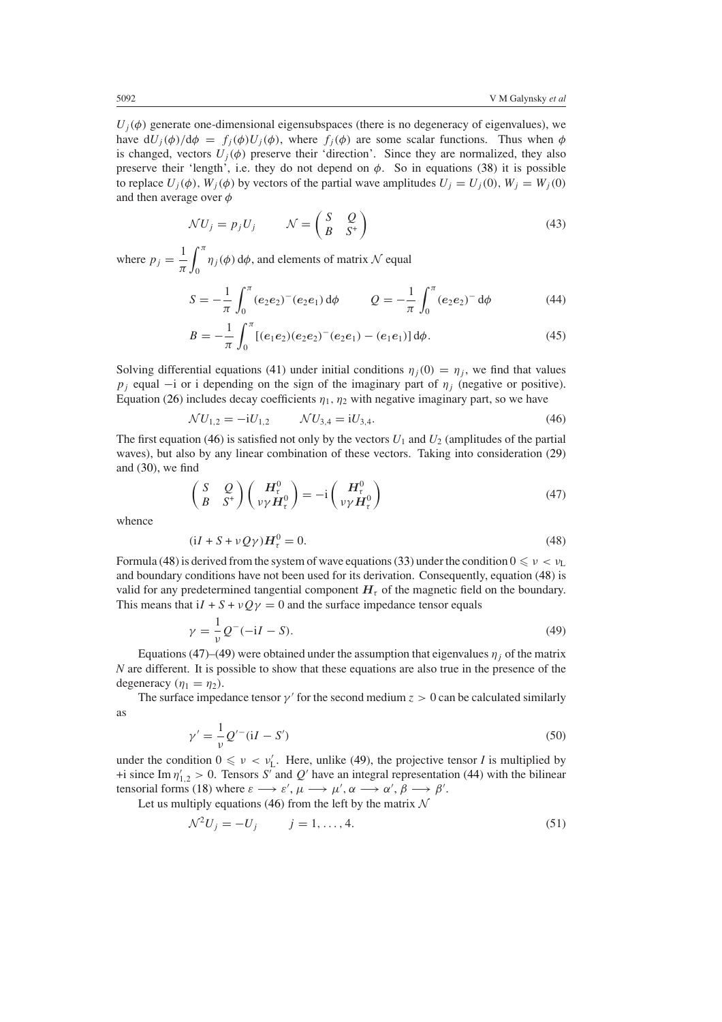$U_i(\phi)$  generate one-dimensional eigensubspaces (there is no degeneracy of eigenvalues), we have  $dU_j(\phi)/d\phi = f_j(\phi)U_j(\phi)$ , where  $f_j(\phi)$  are some scalar functions. Thus when  $\phi$ is changed, vectors  $U_i(\phi)$  preserve their 'direction'. Since they are normalized, they also preserve their 'length', i.e. they do not depend on  $\phi$ . So in equations [\(38\)](#page-8-1) it is possible to replace  $U_i(\phi)$ ,  $W_i(\phi)$  by vectors of the partial wave amplitudes  $U_j = U_j(0)$ ,  $W_j = W_j(0)$ and then average over *φ*

$$
\mathcal{N}U_j = p_j U_j \qquad \mathcal{N} = \begin{pmatrix} S & Q \\ B & S^+ \end{pmatrix} \tag{43}
$$

<span id="page-9-6"></span><span id="page-9-4"></span>where  $p_j = \frac{1}{\pi}$  *<sup>π</sup>*  $\int_{0}^{\pi} \eta_j(\phi) d\phi$ , and elements of matrix N equal

$$
S = -\frac{1}{\pi} \int_0^{\pi} (e_2 e_2)^{-} (e_2 e_1) d\phi \qquad Q = -\frac{1}{\pi} \int_0^{\pi} (e_2 e_2)^{-} d\phi \qquad (44)
$$

$$
B = -\frac{1}{\pi} \int_0^{\pi} \left[ (e_1 e_2)(e_2 e_2)^{-} (e_2 e_1) - (e_1 e_1) \right] d\phi.
$$
 (45)

<span id="page-9-0"></span>Solving differential equations [\(41\)](#page-8-3) under initial conditions  $\eta_i(0) = \eta_i$ , we find that values *p<sub>j</sub>* equal  $-i$  or i depending on the sign of the imaginary part of  $\eta_j$  (negative or positive). Equation [\(26\)](#page-5-1) includes decay coefficients  $\eta_1$ ,  $\eta_2$  with negative imaginary part, so we have

$$
\mathcal{N}U_{1,2} = -iU_{1,2} \qquad \mathcal{N}U_{3,4} = iU_{3,4}.\tag{46}
$$

<span id="page-9-2"></span>The first equation [\(46\)](#page-9-0) is satisfied not only by the vectors  $U_1$  and  $U_2$  (amplitudes of the partial waves), but also by any linear combination of these vectors. Taking into consideration [\(29\)](#page-6-2) and [\(30\)](#page-7-1), we find

$$
\begin{pmatrix} S & Q \ B & S^+ \end{pmatrix} \begin{pmatrix} H_v^0 \\ \nu \gamma H_v^0 \end{pmatrix} = -i \begin{pmatrix} H_v^0 \\ \nu \gamma H_v^0 \end{pmatrix}
$$
(47)

<span id="page-9-1"></span>whence

$$
(iI + S + \nu Q\gamma)H_{\tau}^{0} = 0. \tag{48}
$$

Formula [\(48\)](#page-9-1) is derived from the system of wave equations [\(33\)](#page-7-4) under the condition  $0 \leq v < v_L$ and boundary conditions have not been used for its derivation. Consequently, equation [\(48\)](#page-9-1) is valid for any predetermined tangential component  $H<sub>\tau</sub>$  of the magnetic field on the boundary. This means that  $iI + S + vQ\gamma = 0$  and the surface impedance tensor equals

$$
\gamma = \frac{1}{\nu} Q^{-}(-iI - S). \tag{49}
$$

<span id="page-9-3"></span>Equations [\(47\)](#page-9-2)–[\(49\)](#page-9-3) were obtained under the assumption that eigenvalues  $\eta_i$  of the matrix *N* are different. It is possible to show that these equations are also true in the presence of the degeneracy  $(\eta_1 = \eta_2)$ .

<span id="page-9-7"></span>The surface impedance tensor  $\gamma'$  for the second medium  $z > 0$  can be calculated similarly as

$$
\gamma' = \frac{1}{\nu} Q'^{-} (\mathrm{i}I - S') \tag{50}
$$

under the condition  $0 \le v < v'_{L}$ . Here, unlike [\(49\)](#page-9-3), the projective tensor *I* is multiplied by +i since Im  $\eta'_{1,2} > 0$ . Tensors *S'* and *Q'* have an integral representation [\(44\)](#page-9-4) with the bilinear tensorial forms [\(18\)](#page-4-0) where  $\varepsilon \longrightarrow \varepsilon', \mu \longrightarrow \mu', \alpha \longrightarrow \alpha', \beta \longrightarrow \beta'.$ 

<span id="page-9-5"></span>Let us multiply equations [\(46\)](#page-9-0) from the left by the matrix  $\mathcal N$ 

$$
\mathcal{N}^2 U_j = -U_j \qquad j = 1, ..., 4. \tag{51}
$$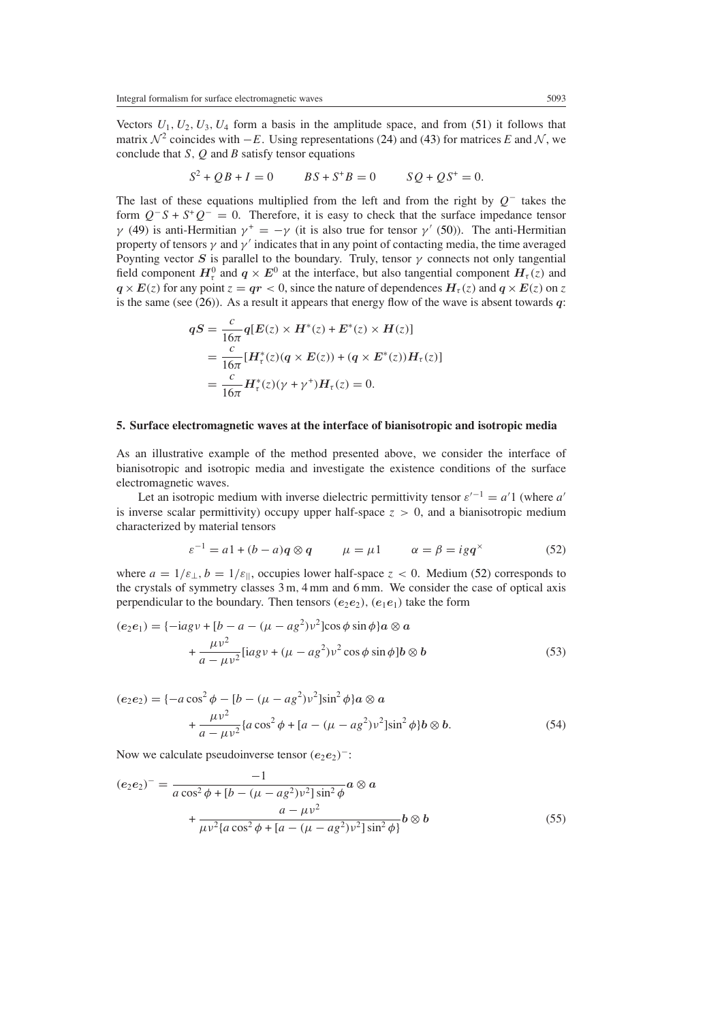Vectors  $U_1, U_2, U_3, U_4$  form a basis in the amplitude space, and from [\(51\)](#page-9-5) it follows that matrix  $\mathcal{N}^2$  coincides with  $-E$ . Using representations [\(24\)](#page-4-5) and [\(43\)](#page-9-6) for matrices *E* and  $\mathcal{N}$ , we conclude that *S,Q* and *B* satisfy tensor equations

$$
S^2 + QB + I = 0 \t\t BS + S^+B = 0 \t\t SO + QS^+ = 0.
$$

The last of these equations multiplied from the left and from the right by *Q*<sup>−</sup> takes the form  $Q^-S + S^+Q^- = 0$ . Therefore, it is easy to check that the surface impedance tensor *γ* [\(49\)](#page-9-3) is anti-Hermitian  $\gamma^+ = -\gamma$  (it is also true for tensor *γ* [\(50\)](#page-9-7)). The anti-Hermitian property of tensors  $\gamma$  and  $\gamma'$  indicates that in any point of contacting media, the time averaged Poynting vector *S* is parallel to the boundary. Truly, tensor  $\gamma$  connects not only tangential field component  $H^0_\tau$  and  $q \times E^0$  at the interface, but also tangential component  $H_\tau(z)$  and  $q \times E(z)$  for any point  $z = qr < 0$ , since the nature of dependences  $H_\tau(z)$  and  $q \times E(z)$  on *z* is the same (see  $(26)$ ). As a result it appears that energy flow of the wave is absent towards  $q$ :

$$
qS = \frac{c}{16\pi} q[E(z) \times H^*(z) + E^*(z) \times H(z)]
$$
  
= 
$$
\frac{c}{16\pi} [H^*_\tau(z)(q \times E(z)) + (q \times E^*(z))H_\tau(z)]
$$
  
= 
$$
\frac{c}{16\pi} H^*_\tau(z)(\gamma + \gamma^+) H_\tau(z) = 0.
$$

#### <span id="page-10-0"></span>**5. Surface electromagnetic waves at the interface of bianisotropic and isotropic media**

As an illustrative example of the method presented above, we consider the interface of bianisotropic and isotropic media and investigate the existence conditions of the surface electromagnetic waves.

Let an isotropic medium with inverse dielectric permittivity tensor  $\varepsilon^{-1} = a'1$  (where *a'* is inverse scalar permittivity) occupy upper half-space  $z > 0$ , and a bianisotropic medium characterized by material tensors

$$
\varepsilon^{-1} = a1 + (b - a)q \otimes q \qquad \mu = \mu 1 \qquad \alpha = \beta = igq^{\times} \tag{52}
$$

<span id="page-10-1"></span>where  $a = 1/\varepsilon_{\perp}, b = 1/\varepsilon_{\parallel}$ , occupies lower half-space  $z < 0$ . Medium [\(52\)](#page-10-1) corresponds to the crystals of symmetry classes 3 m*,* 4 mm and 6 mm. We consider the case of optical axis perpendicular to the boundary. Then tensors  $(e_2e_2)$ ,  $(e_1e_1)$  take the form

$$
(e_2e_1) = \{-iagv + [b - a - (\mu - ag^2)v^2] \cos \phi \sin \phi\} a \otimes a
$$

$$
+ \frac{\mu v^2}{a - \mu v^2} [iagv + (\mu - ag^2)v^2 \cos \phi \sin \phi] b \otimes b
$$
(53)

$$
(e_2 e_2) = \{-a\cos^2\phi - [b - (\mu - ag^2)\nu^2]\sin^2\phi\}a \otimes a
$$
  
 
$$
+ \frac{\mu\nu^2}{a - \mu\nu^2} \{a\cos^2\phi + [a - (\mu - ag^2)\nu^2]\sin^2\phi\}b \otimes b.
$$
 (54)

Now we calculate pseudoinverse tensor  $(e_2e_2)^{-}$ :

<span id="page-10-2"></span>
$$
(e_2e_2)^{-} = \frac{-1}{a\cos^2\phi + [b - (\mu - ag^2)\nu^2]\sin^2\phi}a \otimes a
$$
  
 
$$
+ \frac{a - \mu\nu^2}{\mu\nu^2 \{a\cos^2\phi + [a - (\mu - ag^2)\nu^2]\sin^2\phi\}}b \otimes b
$$
 (55)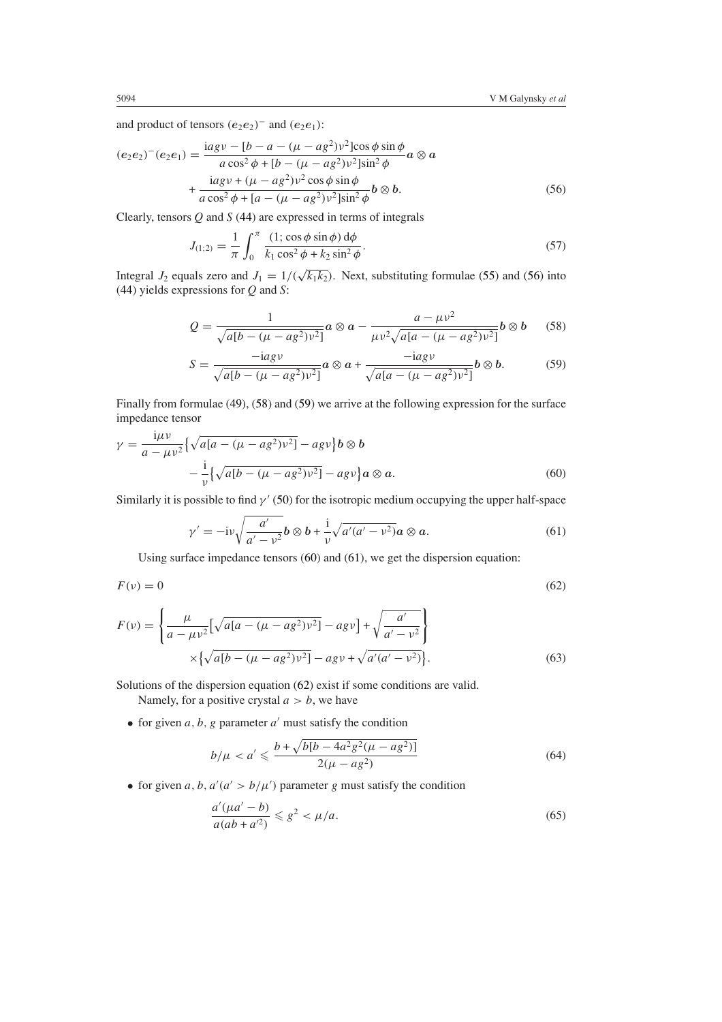and product of tensors  $(e_2e_2)^-$  and  $(e_2e_1)$ :

<span id="page-11-0"></span>
$$
(e_2e_2)^{+}(e_2e_1) = \frac{\text{i}ag \nu - [b - a - (\mu - ag^2)\nu^2] \cos \phi \sin \phi}{a \cos^2 \phi + [b - (\mu - ag^2)\nu^2] \sin^2 \phi} a \otimes a + \frac{\text{i}ag \nu + (\mu - ag^2)\nu^2 \cos \phi \sin \phi}{a \cos^2 \phi + [a - (\mu - ag^2)\nu^2] \sin^2 \phi} b \otimes b.
$$
(56)

Clearly, tensors *Q* and *S* [\(44\)](#page-9-4) are expressed in terms of integrals

$$
J_{(1;2)} = \frac{1}{\pi} \int_0^{\pi} \frac{(1; \cos \phi \sin \phi) d\phi}{k_1 \cos^2 \phi + k_2 \sin^2 \phi}.
$$
 (57)

<span id="page-11-1"></span>Integral *J*<sub>2</sub> equals zero and *J*<sub>1</sub> =  $1/(\sqrt{k_1k_2})$ . Next, substituting formulae [\(55\)](#page-10-2) and [\(56\)](#page-11-0) into [\(44\)](#page-9-4) yields expressions for *Q* and *S*:

$$
Q = \frac{1}{\sqrt{a[b - (\mu - ag^2)\nu^2]}} a \otimes a - \frac{a - \mu\nu^2}{\mu\nu^2 \sqrt{a[a - (\mu - ag^2)\nu^2]}} b \otimes b \qquad (58)
$$

$$
S = \frac{-iagv}{\sqrt{a[b - (\mu - ag^2)v^2]}} a \otimes a + \frac{-iagv}{\sqrt{a[a - (\mu - ag^2)v^2]}} b \otimes b.
$$
 (59)

<span id="page-11-2"></span>Finally from formulae [\(49\)](#page-9-3), [\(58\)](#page-11-1) and [\(59\)](#page-11-2) we arrive at the following expression for the surface impedance tensor

<span id="page-11-3"></span>
$$
\gamma = \frac{i\mu v}{a - \mu v^2} \left\{ \sqrt{a[a - (\mu - ag^2)v^2]} - agv \right\} b \otimes b
$$

$$
- \frac{i}{v} \left\{ \sqrt{a[b - (\mu - ag^2)v^2]} - agv \right\} a \otimes a. \tag{60}
$$

<span id="page-11-4"></span>Similarly it is possible to find  $\gamma'$  [\(50\)](#page-9-7) for the isotropic medium occupying the upper half-space

$$
\gamma' = -i\nu \sqrt{\frac{a'}{a' - \nu^2}} b \otimes b + \frac{i}{\nu} \sqrt{a'(a' - \nu^2)} a \otimes a. \tag{61}
$$

Using surface impedance tensors [\(60\)](#page-11-3) and [\(61\)](#page-11-4), we get the dispersion equation:

<span id="page-11-5"></span>
$$
F(v) = 0 \tag{62}
$$

$$
F(v) = \left\{ \frac{\mu}{a - \mu v^2} \left[ \sqrt{a[a - (\mu - ag^2)v^2]} - agv \right] + \sqrt{\frac{a'}{a' - v^2}} \right\}
$$

$$
\times \left\{ \sqrt{a[b - (\mu - ag^2)v^2]} - agv + \sqrt{a'(a' - v^2)} \right\}.
$$
(63)

Solutions of the dispersion equation [\(62\)](#page-11-5) exist if some conditions are valid.

Namely, for a positive crystal  $a > b$ , we have

<span id="page-11-6"></span>• for given  $a, b, g$  parameter  $a'$  must satisfy the condition

$$
b/\mu < a' \leqslant \frac{b + \sqrt{b[b - 4a^2g^2(\mu - ag^2)]}}{2(\mu - ag^2)}\tag{64}
$$

<span id="page-11-7"></span>• for given *a*, *b*,  $a'(a' > b/\mu')$  parameter *g* must satisfy the condition

$$
\frac{a'(\mu a' - b)}{a(ab + a'^2)} \leqslant g^2 < \mu/a. \tag{65}
$$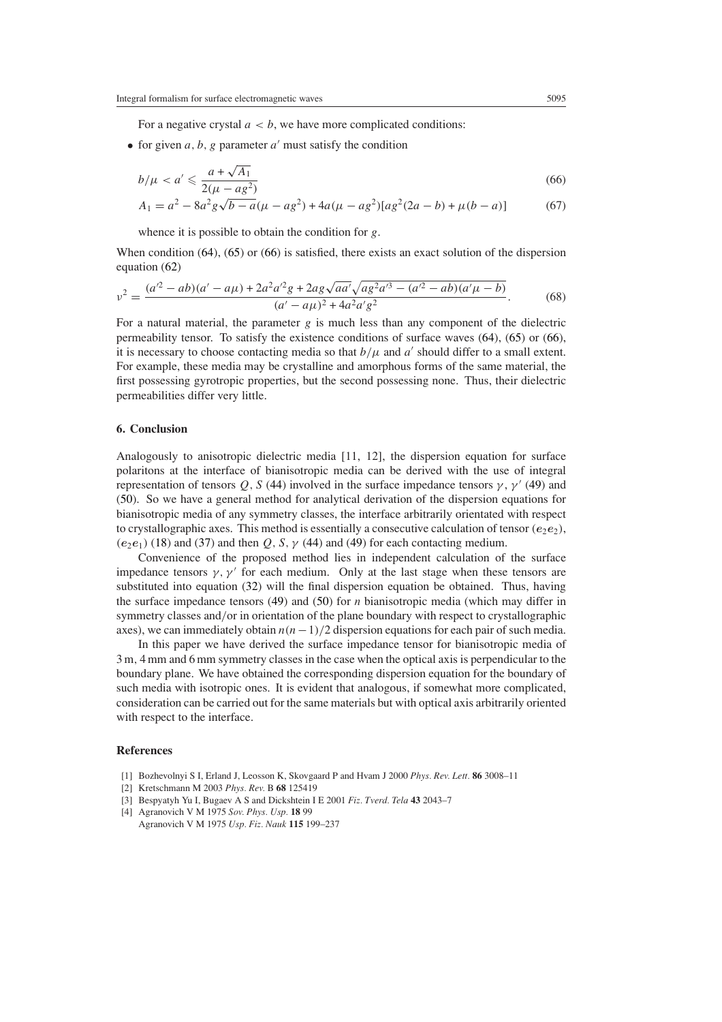For a negative crystal  $a < b$ , we have more complicated conditions:

• for given  $a, b, g$  parameter  $a'$  must satisfy the condition

<span id="page-12-0"></span>
$$
b/\mu < a' \leq \frac{a + \sqrt{A_1}}{2(\mu - ag^2)}\tag{66}
$$

$$
A_1 = a^2 - 8a^2g\sqrt{b-a}(\mu - ag^2) + 4a(\mu - ag^2)[ag^2(2a - b) + \mu(b - a)]
$$
 (67)

whence it is possible to obtain the condition for *g*.

When condition [\(64\)](#page-11-6), [\(65\)](#page-11-7) or [\(66\)](#page-12-0) is satisfied, there exists an exact solution of the dispersion equation [\(62\)](#page-11-5)

$$
v^{2} = \frac{(a'^{2} - ab)(a' - a\mu) + 2a^{2}a'^{2}g + 2ag\sqrt{aa'}\sqrt{ag^{2}a'^{3} - (a'^{2} - ab)(a'\mu - b)}}{(a' - a\mu)^{2} + 4a^{2}a'g^{2}}.
$$
 (68)

For a natural material, the parameter  $g$  is much less than any component of the dielectric permeability tensor. To satisfy the existence conditions of surface waves [\(64\)](#page-11-6), [\(65\)](#page-11-7) or [\(66\)](#page-12-0), it is necessary to choose contacting media so that  $b/\mu$  and  $a'$  should differ to a small extent. For example, these media may be crystalline and amorphous forms of the same material, the first possessing gyrotropic properties, but the second possessing none. Thus, their dielectric permeabilities differ very little.

## **6. Conclusion**

Analogously to anisotropic dielectric media [11, 12], the dispersion equation for surface polaritons at the interface of bianisotropic media can be derived with the use of integral representation of tensors *Q*, *S* [\(44\)](#page-9-4) involved in the surface impedance tensors *γ*, *γ*<sup>'</sup> [\(49\)](#page-9-3) and [\(50\)](#page-9-7). So we have a general method for analytical derivation of the dispersion equations for bianisotropic media of any symmetry classes, the interface arbitrarily orientated with respect to crystallographic axes. This method is essentially a consecutive calculation of tensor  $(e_2e_2)$ ,  $(e_2e_1)$  [\(18\)](#page-4-0) and [\(37\)](#page-8-4) and then  $Q$ , *S*,  $\gamma$  [\(44\)](#page-9-4) and [\(49\)](#page-9-3) for each contacting medium.

Convenience of the proposed method lies in independent calculation of the surface impedance tensors  $\gamma$ ,  $\gamma'$  for each medium. Only at the last stage when these tensors are substituted into equation [\(32\)](#page-7-3) will the final dispersion equation be obtained. Thus, having the surface impedance tensors [\(49\)](#page-9-3) and [\(50\)](#page-9-7) for *n* bianisotropic media (which may differ in symmetry classes and*/*or in orientation of the plane boundary with respect to crystallographic axes), we can immediately obtain  $n(n-1)/2$  dispersion equations for each pair of such media.

In this paper we have derived the surface impedance tensor for bianisotropic media of 3 m*,* 4 mm and 6 mm symmetry classes in the case when the optical axis is perpendicular to the boundary plane. We have obtained the corresponding dispersion equation for the boundary of such media with isotropic ones. It is evident that analogous, if somewhat more complicated, consideration can be carried out for the same materials but with optical axis arbitrarily oriented with respect to the interface.

## **References**

- [1] Bozhevolnyi S I, Erland J, Leosson K, Skovgaard P and Hvam J 2000 *Phys. Rev. Lett.* **86** 3008–11
- [2] Kretschmann M 2003 *Phys. Rev.* B **68** 125419
- [3] Bespyatyh Yu I, Bugaev A S and Dickshtein I E 2001 *Fiz. Tverd. Tela* **43** 2043–7
- [4] Agranovich V M 1975 *Sov. Phys. Usp.* **18** 99
- Agranovich V M 1975 *Usp. Fiz. Nauk* **115** 199–237